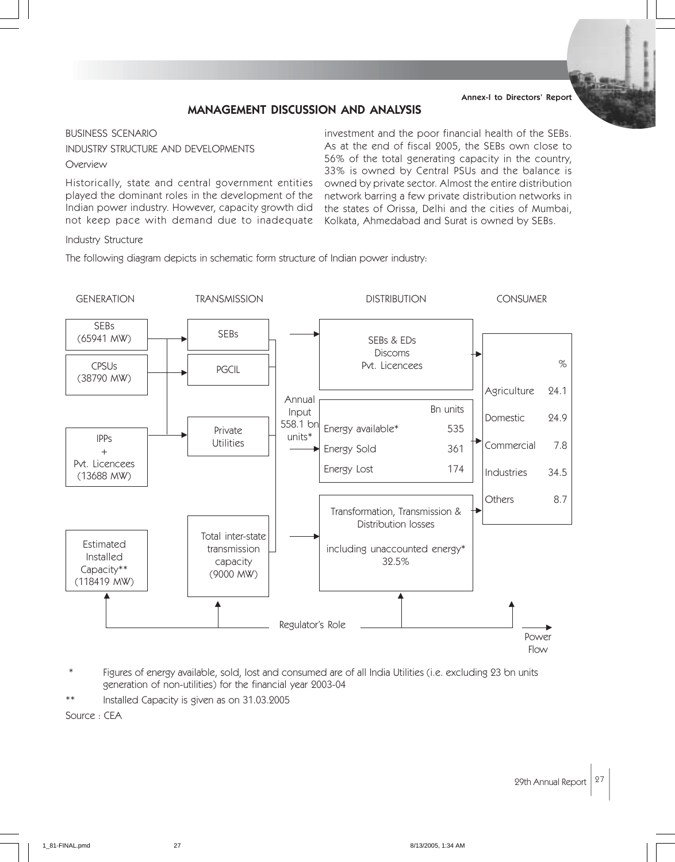#### Annex-I to Directors' Report

## MANAGEMENT DISCUSSION AND ANALYSIS

#### BUSINESS SCENARIO

#### INDUSTRY STRUCTURE AND DEVELOPMENTS

#### Overview

Historically, state and central government entities played the dominant roles in the development of the Indian power industry. However, capacity growth did not keep pace with demand due to inadequate

investment and the poor financial health of the SEBs. As at the end of fiscal 2005, the SEBs own close to 56% of the total generating capacity in the country, 33% is owned by Central PSUs and the balance is owned by private sector. Almost the entire distribution network barring a few private distribution networks in the states of Orissa, Delhi and the cities of Mumbai, Kolkata, Ahmedabad and Surat is owned by SEBs.

#### Industry Structure

The following diagram depicts in schematic form structure of Indian power industry:



- Figures of energy available, sold, lost and consumed are of all India Utilities (i.e. excluding 23 bn units generation of non-utilities) for the financial year 2003-04
- Installed Capacity is given as on 31.03.2005

Source : CEA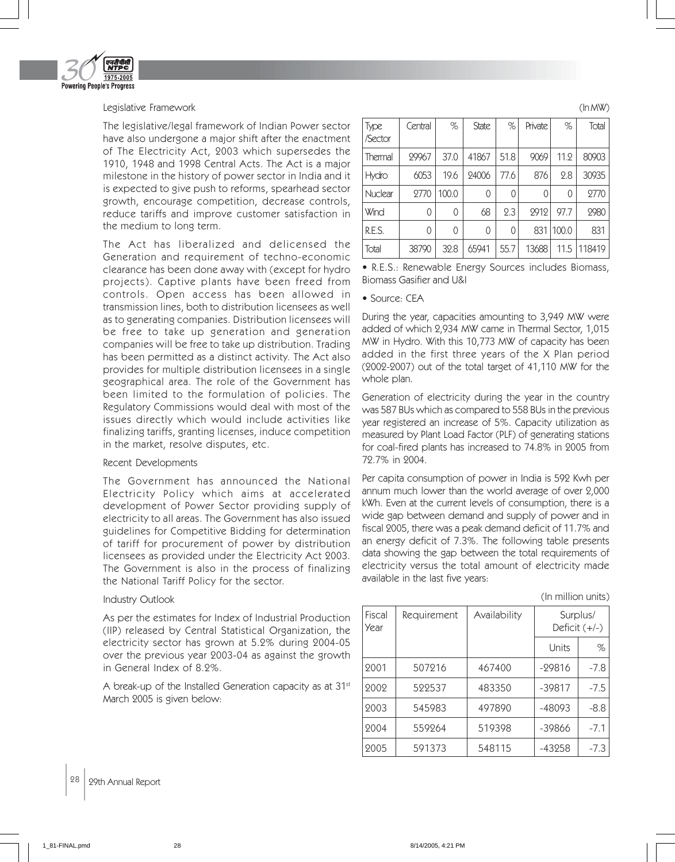

#### Legislative Framework

The legislative/legal framework of Indian Power sector have also undergone a major shift after the enactment of The Electricity Act, 2003 which supersedes the 1910, 1948 and 1998 Central Acts. The Act is a major milestone in the history of power sector in India and it is expected to give push to reforms, spearhead sector growth, encourage competition, decrease controls, reduce tariffs and improve customer satisfaction in the medium to long term.

The Act has liberalized and delicensed the Generation and requirement of techno-economic clearance has been done away with (except for hydro projects). Captive plants have been freed from controls. Open access has been allowed in transmission lines, both to distribution licensees as well as to generating companies. Distribution licensees will be free to take up generation and generation companies will be free to take up distribution. Trading has been permitted as a distinct activity. The Act also provides for multiple distribution licensees in a single geographical area. The role of the Government has been limited to the formulation of policies. The Regulatory Commissions would deal with most of the issues directly which would include activities like finalizing tariffs, granting licenses, induce competition in the market, resolve disputes, etc.

## Recent Developments

The Government has announced the National Electricity Policy which aims at accelerated development of Power Sector providing supply of electricity to all areas. The Government has also issued guidelines for Competitive Bidding for determination of tariff for procurement of power by distribution licensees as provided under the Electricity Act 2003. The Government is also in the process of finalizing the National Tariff Policy for the sector.

#### Industry Outlook

As per the estimates for Index of Industrial Production (IIP) released by Central Statistical Organization, the electricity sector has grown at 5.2% during 2004-05 over the previous year 2003-04 as against the growth in General Index of 8.2%.

A break-up of the Installed Generation capacity as at 31<sup>st</sup> March 2005 is given below:

| Type<br>Sector | Central | $\%$  | <b>State</b> | %    | Private | %     | Total  |
|----------------|---------|-------|--------------|------|---------|-------|--------|
| l Thermal      | 29967   | 37.0  | 41867        | 51.8 | 9069    | 11.2  | 80903  |
| Hydro          | 6053    | 19.6  | 24006        | 77.6 | 876     | 2.8   | 30935  |
| Nuclear        | 2770    | 100.0 | 0            | 0    |         | 0     | 2770   |
| Wind           | 0       | 0     | 68           | 2.3  | 2912    | 97.7  | 2980   |
| R.E.S.         | 0       | 0     | 0            | 0    | 831     | 100.0 | 831    |
| Total          | 38790   | 32.8  | 65941        | 55.7 | 13688   | 11.5  | 118419 |

• R.E.S.: Renewable Energy Sources includes Biomass, Biomass Gasifier and U&I

#### • Source: CEA

During the year, capacities amounting to 3,949 MW were added of which 2,934 MW came in Thermal Sector, 1,015 MW in Hydro. With this 10,773 MW of capacity has been added in the first three years of the X Plan period (2002-2007) out of the total target of 41,110 MW for the whole plan.

Generation of electricity during the year in the country was 587 BUs which as compared to 558 BUs in the previous year registered an increase of 5%. Capacity utilization as measured by Plant Load Factor (PLF) of generating stations for coal-fired plants has increased to 74.8% in 2005 from 72.7% in 2004.

Per capita consumption of power in India is 592 Kwh per annum much lower than the world average of over 2,000 kWh. Even at the current levels of consumption, there is a wide gap between demand and supply of power and in fiscal 2005, there was a peak demand deficit of 11.7% and an energy deficit of 7.3%. The following table presents data showing the gap between the total requirements of electricity versus the total amount of electricity made available in the last five years:

(In million units)

(In MW)

| Fiscal<br>Year | Requirement | Availability |          | Surplus/<br>Deficit $(+/-)$ |
|----------------|-------------|--------------|----------|-----------------------------|
|                |             |              | Units    | %                           |
| 2001           | 507216      | 467400       | $-29816$ | $-7.8$                      |
| 2002           | 522537      | 483350       | $-39817$ | $-7.5$                      |
| 2003           | 545983      | 497890       | $-48093$ | $-8.8$                      |
| 2004           | 559264      | 519398       | -39866   | $-7.1$                      |
| 2005           | 591373      | 548115       | -43258   | $-7.3$                      |

28 29th Annual Report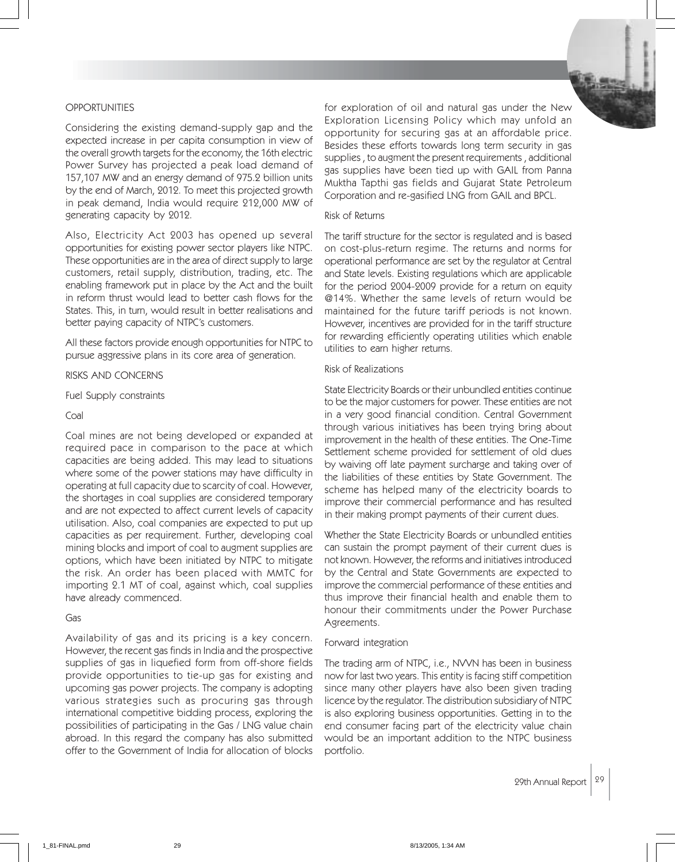## OPPORTUNITIES

Considering the existing demand-supply gap and the expected increase in per capita consumption in view of the overall growth targets for the economy, the 16th electric Power Survey has projected a peak load demand of 157,107 MW and an energy demand of 975.2 billion units by the end of March, 2012. To meet this projected growth in peak demand, India would require 212,000 MW of generating capacity by 2012.

Also, Electricity Act 2003 has opened up several opportunities for existing power sector players like NTPC. These opportunities are in the area of direct supply to large customers, retail supply, distribution, trading, etc. The enabling framework put in place by the Act and the built in reform thrust would lead to better cash flows for the States. This, in turn, would result in better realisations and better paying capacity of NTPC's customers.

All these factors provide enough opportunities for NTPC to pursue aggressive plans in its core area of generation.

#### RISKS AND CONCERNS

Fuel Supply constraints

#### Coal

Coal mines are not being developed or expanded at required pace in comparison to the pace at which capacities are being added. This may lead to situations where some of the power stations may have difficulty in operating at full capacity due to scarcity of coal. However, the shortages in coal supplies are considered temporary and are not expected to affect current levels of capacity utilisation. Also, coal companies are expected to put up capacities as per requirement. Further, developing coal mining blocks and import of coal to augment supplies are options, which have been initiated by NTPC to mitigate the risk. An order has been placed with MMTC for importing 2.1 MT of coal, against which, coal supplies have already commenced.

#### Gas

Availability of gas and its pricing is a key concern. However, the recent gas finds in India and the prospective supplies of gas in liquefied form from off-shore fields provide opportunities to tie-up gas for existing and upcoming gas power projects. The company is adopting various strategies such as procuring gas through international competitive bidding process, exploring the possibilities of participating in the Gas / LNG value chain abroad. In this regard the company has also submitted offer to the Government of India for allocation of blocks



#### Risk of Returns

The tariff structure for the sector is regulated and is based on cost-plus-return regime. The returns and norms for operational performance are set by the regulator at Central and State levels. Existing regulations which are applicable for the period 2004-2009 provide for a return on equity @14%. Whether the same levels of return would be maintained for the future tariff periods is not known. However, incentives are provided for in the tariff structure for rewarding efficiently operating utilities which enable utilities to earn higher returns.

#### Risk of Realizations

State Electricity Boards or their unbundled entities continue to be the major customers for power. These entities are not in a very good financial condition. Central Government through various initiatives has been trying bring about improvement in the health of these entities. The One-Time Settlement scheme provided for settlement of old dues by waiving off late payment surcharge and taking over of the liabilities of these entities by State Government. The scheme has helped many of the electricity boards to improve their commercial performance and has resulted in their making prompt payments of their current dues.

Whether the State Electricity Boards or unbundled entities can sustain the prompt payment of their current dues is not known. However, the reforms and initiatives introduced by the Central and State Governments are expected to improve the commercial performance of these entities and thus improve their financial health and enable them to honour their commitments under the Power Purchase Agreements.

#### Forward integration

The trading arm of NTPC, i.e., NVVN has been in business now for last two years. This entity is facing stiff competition since many other players have also been given trading licence by the regulator. The distribution subsidiary of NTPC is also exploring business opportunities. Getting in to the end consumer facing part of the electricity value chain would be an important addition to the NTPC business portfolio.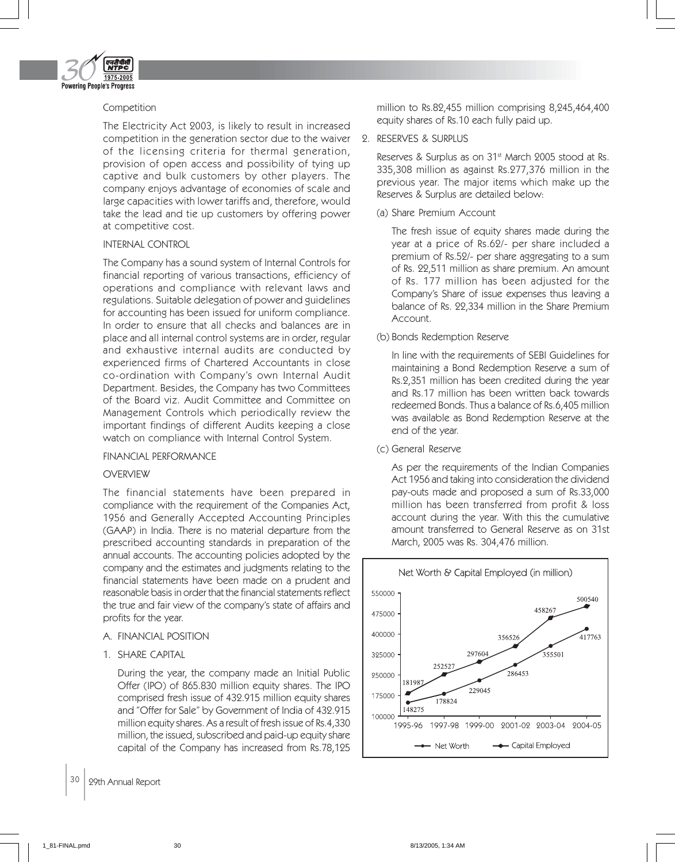

## Competition

The Electricity Act 2003, is likely to result in increased competition in the generation sector due to the waiver of the licensing criteria for thermal generation, provision of open access and possibility of tying up captive and bulk customers by other players. The company enjoys advantage of economies of scale and large capacities with lower tariffs and, therefore, would take the lead and tie up customers by offering power at competitive cost.

## INTERNAL CONTROL

The Company has a sound system of Internal Controls for financial reporting of various transactions, efficiency of operations and compliance with relevant laws and regulations. Suitable delegation of power and guidelines for accounting has been issued for uniform compliance. In order to ensure that all checks and balances are in place and all internal control systems are in order, regular and exhaustive internal audits are conducted by experienced firms of Chartered Accountants in close co-ordination with Company's own Internal Audit Department. Besides, the Company has two Committees of the Board viz. Audit Committee and Committee on Management Controls which periodically review the important findings of different Audits keeping a close watch on compliance with Internal Control System.

## FINANCIAL PERFORMANCE

## **OVERVIEW**

The financial statements have been prepared in compliance with the requirement of the Companies Act, 1956 and Generally Accepted Accounting Principles (GAAP) in India. There is no material departure from the prescribed accounting standards in preparation of the annual accounts. The accounting policies adopted by the company and the estimates and judgments relating to the financial statements have been made on a prudent and reasonable basis in order that the financial statements reflect the true and fair view of the company's state of affairs and profits for the year.

## A. FINANCIAL POSITION

## 1. SHARE CAPITAL

During the year, the company made an Initial Public Offer (IPO) of 865.830 million equity shares. The IPO comprised fresh issue of 432.915 million equity shares and "Offer for Sale" by Government of India of 432.915 million equity shares. As a result of fresh issue of Rs.4,330 million, the issued, subscribed and paid-up equity share capital of the Company has increased from Rs.78,125

# 30 | 29th Annual Report

million to Rs.82,455 million comprising 8,245,464,400 equity shares of Rs.10 each fully paid up.

#### 2. RESERVES & SURPLUS

Reserves & Surplus as on 31<sup>st</sup> March 2005 stood at Rs. 335,308 million as against Rs.277,376 million in the previous year. The major items which make up the Reserves & Surplus are detailed below:

## (a) Share Premium Account

The fresh issue of equity shares made during the year at a price of Rs.62/- per share included a premium of Rs.52/- per share aggregating to a sum of Rs. 22,511 million as share premium. An amount of Rs. 177 million has been adjusted for the Company's Share of issue expenses thus leaving a balance of Rs. 22,334 million in the Share Premium Account.

(b) Bonds Redemption Reserve

In line with the requirements of SEBI Guidelines for maintaining a Bond Redemption Reserve a sum of Rs.2,351 million has been credited during the year and Rs.17 million has been written back towards redeemed Bonds. Thus a balance of Rs.6,405 million was available as Bond Redemption Reserve at the end of the year.

(c) General Reserve

As per the requirements of the Indian Companies Act 1956 and taking into consideration the dividend pay-outs made and proposed a sum of Rs.33,000 million has been transferred from profit & loss account during the year. With this the cumulative amount transferred to General Reserve as on 31st March, 2005 was Rs. 304,476 million.

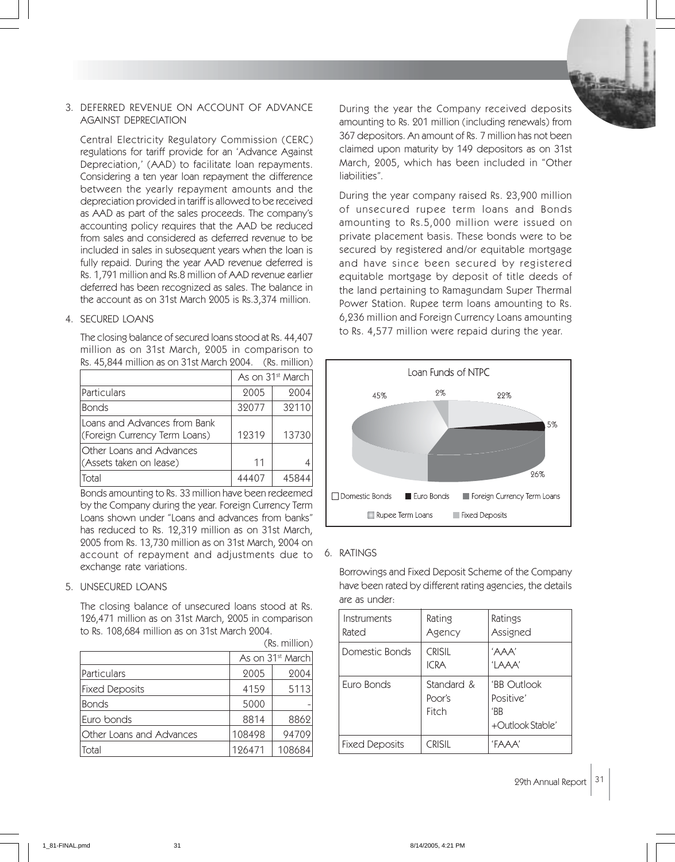#### 3. DEFERRED REVENUE ON ACCOUNT OF ADVANCE AGAINST DEPRECIATION

Central Electricity Regulatory Commission (CERC) regulations for tariff provide for an 'Advance Against Depreciation,' (AAD) to facilitate loan repayments. Considering a ten year loan repayment the difference between the yearly repayment amounts and the depreciation provided in tariff is allowed to be received as AAD as part of the sales proceeds. The company's accounting policy requires that the AAD be reduced from sales and considered as deferred revenue to be included in sales in subsequent years when the loan is fully repaid. During the year AAD revenue deferred is Rs. 1,791 million and Rs.8 million of AAD revenue earlier deferred has been recognized as sales. The balance in the account as on 31st March 2005 is Rs.3,374 million.

#### 4. SECURED LOANS

The closing balance of secured loans stood at Rs. 44,407 million as on 31st March, 2005 in comparison to Rs. 45,844 million as on 31st March 2004. (Rs. million)

|                                                               | As on 31 <sup>st</sup> March |       |
|---------------------------------------------------------------|------------------------------|-------|
| Particulars                                                   | 2005                         | 2004  |
| <b>Bonds</b>                                                  | 32077                        | 32110 |
| Loans and Advances from Bank<br>(Foreign Currency Term Loans) | 12319                        | 13730 |
| Other Loans and Advances<br>(Assets taken on lease)           | 11                           |       |
| Total                                                         |                              | 45844 |

Bonds amounting to Rs. 33 million have been redeemed by the Company during the year. Foreign Currency Term Loans shown under "Loans and advances from banks" has reduced to Rs. 12,319 million as on 31st March, 2005 from Rs. 13,730 million as on 31st March, 2004 on account of repayment and adjustments due to exchange rate variations.

#### 5. UNSECURED LOANS

The closing balance of unsecured loans stood at Rs. 126,471 million as on 31st March, 2005 in comparison to Rs. 108,684 million as on 31st March 2004.

|                          | As on 31 <sup>st</sup> March |        |  |
|--------------------------|------------------------------|--------|--|
| Particulars              | 2005                         | 2004   |  |
| <b>Fixed Deposits</b>    | 4159                         | 5113   |  |
| <b>Bonds</b>             | 5000                         |        |  |
| Euro bonds               | 8814                         | 8862   |  |
| Other Loans and Advances | 108498                       | 94709  |  |
| Total                    | 126471                       | 108684 |  |

(Rs. million)

During the year the Company received deposits amounting to Rs. 201 million (including renewals) from 367 depositors. An amount of Rs. 7 million has not been claimed upon maturity by 149 depositors as on 31st March, 2005, which has been included in "Other liabilities".

During the year company raised Rs. 23,900 million of unsecured rupee term loans and Bonds amounting to Rs.5,000 million were issued on private placement basis. These bonds were to be secured by registered and/or equitable mortgage and have since been secured by registered equitable mortgage by deposit of title deeds of the land pertaining to Ramagundam Super Thermal Power Station. Rupee term loans amounting to Rs. 6,236 million and Foreign Currency Loans amounting to Rs. 4,577 million were repaid during the year.



## 6. RATINGS

Borrowings and Fixed Deposit Scheme of the Company have been rated by different rating agencies, the details are as under:

| Instruments<br>Rated | Rating<br>Agency              | Ratings<br>Assigned                                           |
|----------------------|-------------------------------|---------------------------------------------------------------|
| Domestic Bonds       | <b>CRISIL</b><br><b>ICRA</b>  | 'AAA'<br>'LAAA'                                               |
| Furo Bonds           | Standard &<br>Poor's<br>Fitch | <b>'BB</b> Outlook<br>Positive'<br>'BB<br>$+$ Outlook Stable' |
| Fixed Deposits       | <b>CRISIL</b>                 | FAAA'                                                         |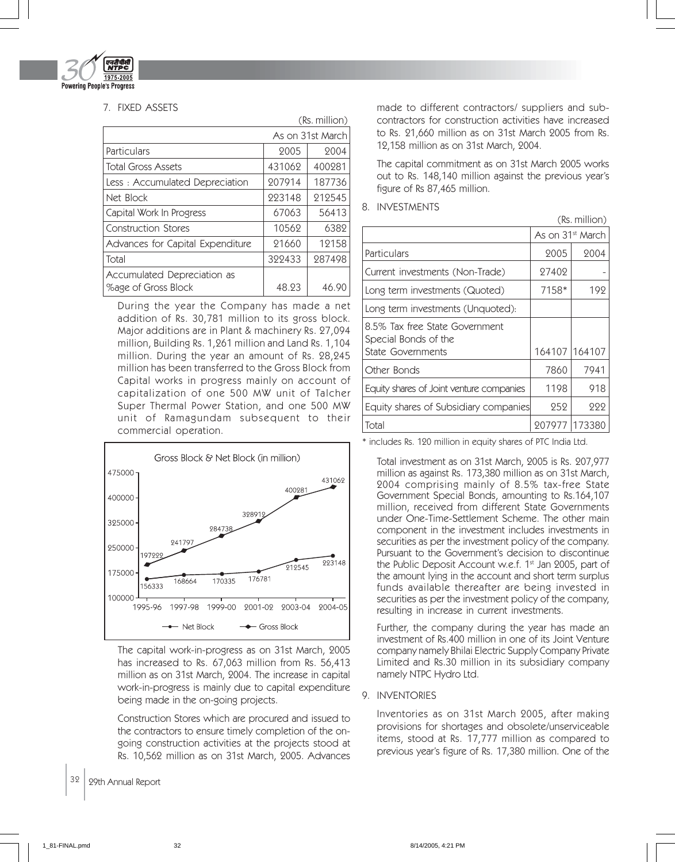

## 7. FIXED ASSETS

|                                                    |                  | (Rs. million) |
|----------------------------------------------------|------------------|---------------|
|                                                    | As on 31st March |               |
| Particulars                                        | 2005             | 2004          |
| <b>Total Gross Assets</b>                          | 431062           | 400281        |
| Less: Accumulated Depreciation                     | 207914           | 187736        |
| Net Block                                          | 223148           | 212545        |
| Capital Work In Progress                           | 67063            | 56413         |
| <b>Construction Stores</b>                         | 10562            | 6382          |
| Advances for Capital Expenditure                   | 21660            | 12158         |
| Total                                              | 322433           | 287498        |
| Accumulated Depreciation as<br>%age of Gross Block | 48.23            | 46.90         |

During the year the Company has made a net addition of Rs. 30,781 million to its gross block. Major additions are in Plant & machinery Rs. 27,094 million, Building Rs. 1,261 million and Land Rs. 1,104 million. During the year an amount of Rs. 28,245 million has been transferred to the Gross Block from Capital works in progress mainly on account of capitalization of one 500 MW unit of Talcher Super Thermal Power Station, and one 500 MW unit of Ramagundam subsequent to their commercial operation.



The capital work-in-progress as on 31st March, 2005 has increased to Rs. 67,063 million from Rs. 56,413 million as on 31st March, 2004. The increase in capital work-in-progress is mainly due to capital expenditure being made in the on-going projects.

Construction Stores which are procured and issued to the contractors to ensure timely completion of the ongoing construction activities at the projects stood at Rs. 10,562 million as on 31st March, 2005. Advances

32 | 29th Annual Report

made to different contractors/ suppliers and subcontractors for construction activities have increased to Rs. 21,660 million as on 31st March 2005 from Rs. 12,158 million as on 31st March, 2004.

The capital commitment as on 31st March 2005 works out to Rs. 148,140 million against the previous year's figure of Rs 87,465 million.

## 8. INVESTMENTS

|                                                        |                              | (Rs. million) |
|--------------------------------------------------------|------------------------------|---------------|
|                                                        | As on 31 <sup>st</sup> March |               |
| Particulars                                            | 2005                         | 2004          |
| Current investments (Non-Trade)                        | 27402                        |               |
| Long term investments (Quoted)                         | 7158*                        | 192           |
| Long term investments (Unquoted):                      |                              |               |
| 8.5% Tax free State Government<br>Special Bonds of the |                              |               |
| State Governments                                      | 164107                       | 164107        |
| Other Bonds                                            | 7860                         | 7941          |
| Equity shares of Joint venture companies               | 1198                         | 918           |
| Equity shares of Subsidiary companies                  | 252                          | 222           |
| Total                                                  | 207977                       | 173380        |

\* includes Rs. 120 million in equity shares of PTC India Ltd.

Total investment as on 31st March, 2005 is Rs. 207,977 million as against Rs. 173,380 million as on 31st March, 2004 comprising mainly of 8.5% tax-free State Government Special Bonds, amounting to Rs.164,107 million, received from different State Governments under One-Time-Settlement Scheme. The other main component in the investment includes investments in securities as per the investment policy of the company. Pursuant to the Government's decision to discontinue the Public Deposit Account w.e.f.  $1<sup>st</sup>$  Jan 2005, part of the amount lying in the account and short term surplus funds available thereafter are being invested in securities as per the investment policy of the company, resulting in increase in current investments.

Further, the company during the year has made an investment of Rs.400 million in one of its Joint Venture company namely Bhilai Electric Supply Company Private Limited and Rs.30 million in its subsidiary company namely NTPC Hydro Ltd.

## 9. INVENTORIES

Inventories as on 31st March 2005, after making provisions for shortages and obsolete/unserviceable items, stood at Rs. 17,777 million as compared to previous year's figure of Rs. 17,380 million. One of the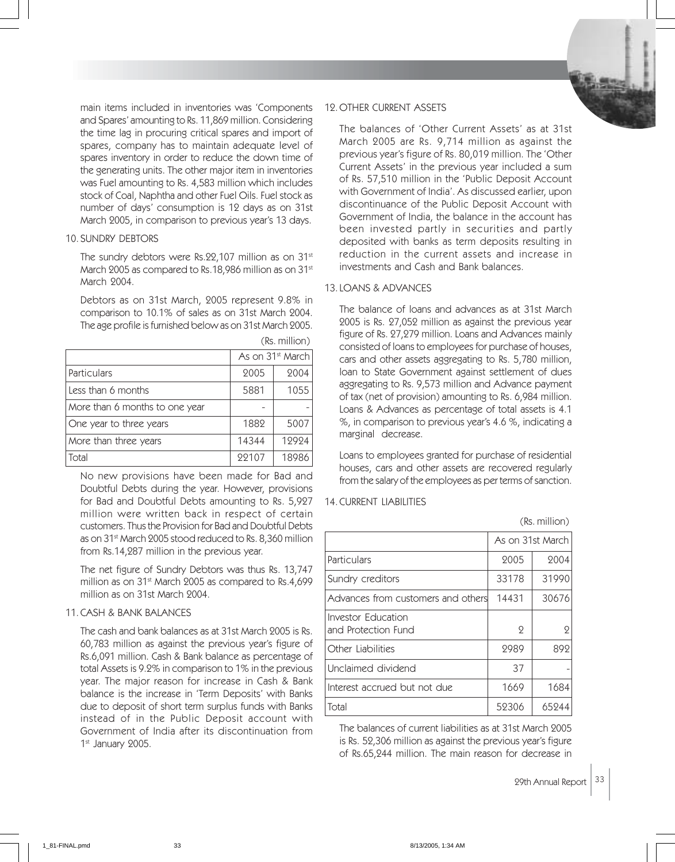main items included in inventories was 'Components and Spares' amounting to Rs. 11,869 million. Considering the time lag in procuring critical spares and import of spares, company has to maintain adequate level of spares inventory in order to reduce the down time of the generating units. The other major item in inventories was Fuel amounting to Rs. 4,583 million which includes stock of Coal, Naphtha and other Fuel Oils. Fuel stock as number of days' consumption is 12 days as on 31st March 2005, in comparison to previous year's 13 days.

## 10. SUNDRY DEBTORS

The sundry debtors were Rs.22,107 million as on 31<sup>st</sup> March 2005 as compared to Rs.18,986 million as on 31<sup>st</sup> March 2004.

Debtors as on 31st March, 2005 represent 9.8% in comparison to 10.1% of sales as on 31st March 2004. The age profile is furnished below as on 31st March 2005.

|                                | As on 31 <sup>st</sup> March |       |
|--------------------------------|------------------------------|-------|
| Particulars                    | 2005                         | 2004  |
| Less than 6 months             | 5881                         | 1055  |
| More than 6 months to one year |                              |       |
| One year to three years        | 1882                         | 5007  |
| More than three years          | 14344                        | 12924 |
| Total                          | 22107                        | 18986 |

(Rs. million)

No new provisions have been made for Bad and Doubtful Debts during the year. However, provisions for Bad and Doubtful Debts amounting to Rs. 5,927 million were written back in respect of certain customers. Thus the Provision for Bad and Doubtful Debts as on 31st March 2005 stood reduced to Rs. 8,360 million from Rs.14,287 million in the previous year.

The net figure of Sundry Debtors was thus Rs. 13,747 million as on 31st March 2005 as compared to Rs.4,699 million as on 31st March 2004.

## 11. CASH & BANK BALANCES

The cash and bank balances as at 31st March 2005 is Rs. 60,783 million as against the previous year's figure of Rs.6,091 million. Cash & Bank balance as percentage of total Assets is 9.2% in comparison to 1% in the previous year. The major reason for increase in Cash & Bank balance is the increase in 'Term Deposits' with Banks due to deposit of short term surplus funds with Banks instead of in the Public Deposit account with Government of India after its discontinuation from 1st January 2005.

#### 12. OTHER CURRENT ASSETS

The balances of 'Other Current Assets' as at 31st March 2005 are Rs. 9,714 million as against the previous year's figure of Rs. 80,019 million. The 'Other Current Assets' in the previous year included a sum of Rs. 57,510 million in the 'Public Deposit Account with Government of India'. As discussed earlier, upon discontinuance of the Public Deposit Account with Government of India, the balance in the account has been invested partly in securities and partly deposited with banks as term deposits resulting in reduction in the current assets and increase in investments and Cash and Bank balances.

## 13. LOANS & ADVANCES

The balance of loans and advances as at 31st March 2005 is Rs. 27,052 million as against the previous year figure of Rs. 27,279 million. Loans and Advances mainly consisted of loans to employees for purchase of houses, cars and other assets aggregating to Rs. 5,780 million, loan to State Government against settlement of dues aggregating to Rs. 9,573 million and Advance payment of tax (net of provision) amounting to Rs. 6,984 million. Loans & Advances as percentage of total assets is 4.1 %, in comparison to previous year's 4.6 %, indicating a marginal decrease.

Loans to employees granted for purchase of residential houses, cars and other assets are recovered regularly from the salary of the employees as per terms of sanction.

## 14. CURRENT LIABILITIES

As on 31st March Particulars 2005 | 2004 Sundry creditors 1 33178 31990 Advances from customers and others  $\mid$  14431  $\mid$  30676 Investor Education and Protection Fund  $\begin{array}{ccc} 2 & 2 & 2 \end{array}$ Other Liabilities 2989 892 Unclaimed dividend 1997 - 1997 - 1998 - 1999 - 1999 - 1999 - 1999 - 1999 - 1999 - 1999 - 1999 - 199 Interest accrued but not due  $\vert$  1669  $\vert$  1684 Total 52306 65244

The balances of current liabilities as at 31st March 2005 is Rs. 52,306 million as against the previous year's figure of Rs.65,244 million. The main reason for decrease in

(Rs. million)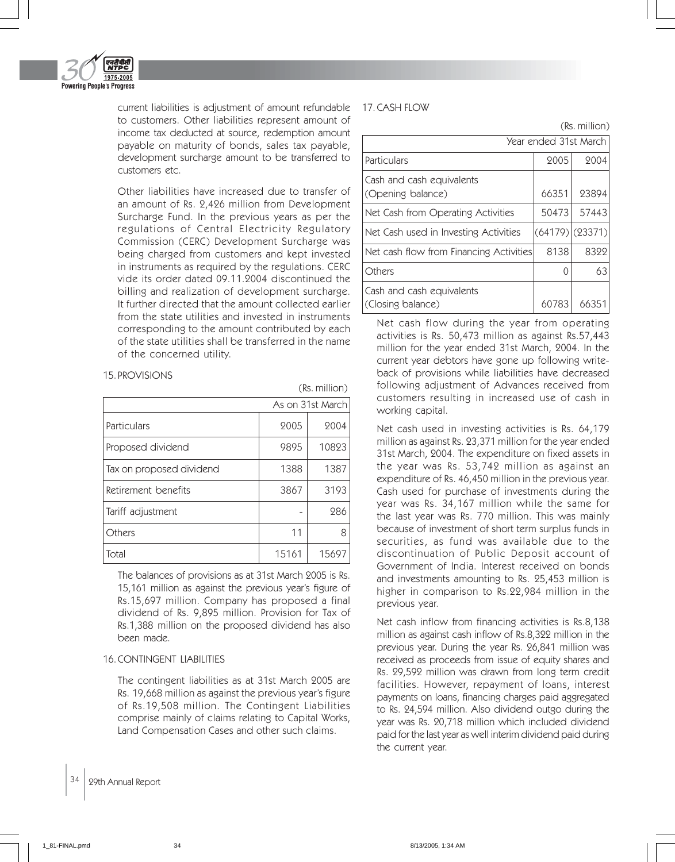

current liabilities is adjustment of amount refundable 17. CASH FLOW to customers. Other liabilities represent amount of income tax deducted at source, redemption amount payable on maturity of bonds, sales tax payable, development surcharge amount to be transferred to customers etc.

Other liabilities have increased due to transfer of an amount of Rs. 2,426 million from Development Surcharge Fund. In the previous years as per the regulations of Central Electricity Regulatory Commission (CERC) Development Surcharge was being charged from customers and kept invested in instruments as required by the regulations. CERC vide its order dated 09.11.2004 discontinued the billing and realization of development surcharge. It further directed that the amount collected earlier from the state utilities and invested in instruments corresponding to the amount contributed by each of the state utilities shall be transferred in the name of the concerned utility.

(Rs. million)

## 15. PROVISIONS

|                          |       | As on 31st March |
|--------------------------|-------|------------------|
| Particulars              | 2005  | 2004             |
| Proposed dividend        | 9895  | 10823            |
| Tax on proposed dividend | 1388  | 1387             |
| Retirement benefits      | 3867  | 3193             |
| Tariff adjustment        |       | 286              |
| Others                   | 11    | 8                |
| Total                    | 15161 | 15697            |

The balances of provisions as at 31st March 2005 is Rs. 15,161 million as against the previous year's figure of Rs.15,697 million. Company has proposed a final dividend of Rs. 9,895 million. Provision for Tax of Rs.1,388 million on the proposed dividend has also been made.

## 16. CONTINGENT LIABILITIES

The contingent liabilities as at 31st March 2005 are Rs. 19,668 million as against the previous year's figure of Rs.19,508 million. The Contingent Liabilities comprise mainly of claims relating to Capital Works, Land Compensation Cases and other such claims.

(Rs. million)

|                                                | Year ended 31st March |                |
|------------------------------------------------|-----------------------|----------------|
| Particulars                                    | 2005                  | 2004           |
| Cash and cash equivalents<br>(Opening balance) | 66351                 | 23894          |
| Net Cash from Operating Activities             | 50473                 | 57443          |
| Net Cash used in Investing Activities          |                       | (64179)(23371) |
| Net cash flow from Financing Activities        | 8138                  | 8322           |
| Others                                         | Ω                     | 63             |
| Cash and cash equivalents<br>(Closing balance) | 60783                 | 6635           |

Net cash flow during the year from operating activities is Rs. 50,473 million as against Rs.57,443 million for the year ended 31st March, 2004. In the current year debtors have gone up following writeback of provisions while liabilities have decreased following adjustment of Advances received from customers resulting in increased use of cash in working capital.

Net cash used in investing activities is Rs. 64,179 million as against Rs. 23,371 million for the year ended 31st March, 2004. The expenditure on fixed assets in the year was Rs. 53,742 million as against an expenditure of Rs. 46,450 million in the previous year. Cash used for purchase of investments during the year was Rs. 34,167 million while the same for the last year was Rs. 770 million. This was mainly because of investment of short term surplus funds in securities, as fund was available due to the discontinuation of Public Deposit account of Government of India. Interest received on bonds and investments amounting to Rs. 25,453 million is higher in comparison to Rs.22,984 million in the previous year.

Net cash inflow from financing activities is Rs.8,138 million as against cash inflow of Rs.8,322 million in the previous year. During the year Rs. 26,841 million was received as proceeds from issue of equity shares and Rs. 29,592 million was drawn from long term credit facilities. However, repayment of loans, interest payments on loans, financing charges paid aggregated to Rs. 24,594 million. Also dividend outgo during the year was Rs. 20,718 million which included dividend paid for the last year as well interim dividend paid during the current year.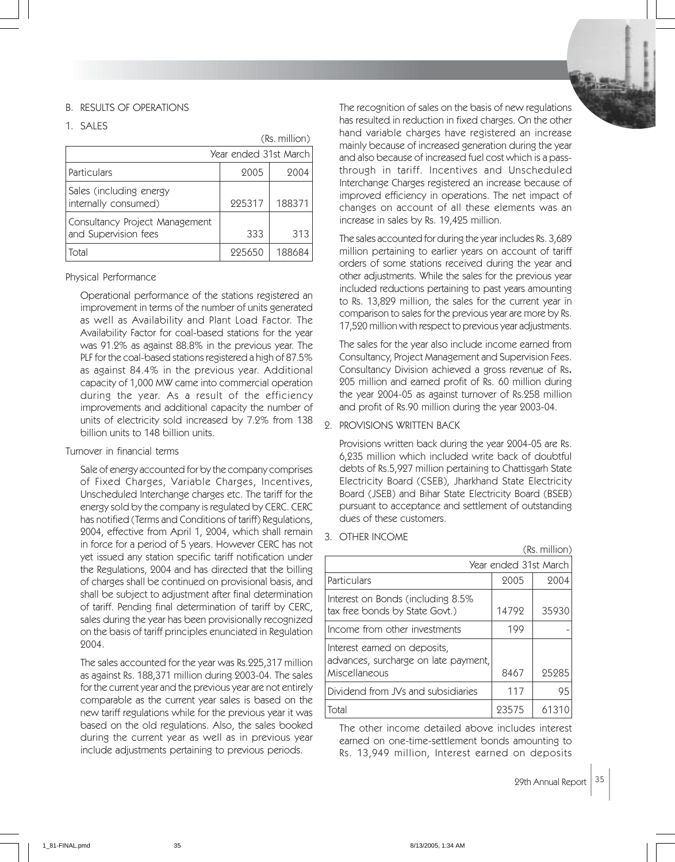## B. RESULTS OF OPERATIONS

1. SALES

(Rs. million)

|                                                        | Year ended 31st March |        |  |
|--------------------------------------------------------|-----------------------|--------|--|
| Particulars                                            | 2005                  | 2004   |  |
| Sales (including energy<br>internally consumed)        | 225317                | 188371 |  |
| Consultancy Project Management<br>and Supervision fees | 333                   | 313    |  |
| Total                                                  | 225650                | 188684 |  |

## Physical Performance

Operational performance of the stations registered an improvement in terms of the number of units generated as well as Availability and Plant Load Factor. The Availability Factor for coal-based stations for the year was 91.2% as against 88.8% in the previous year. The PLF for the coal-based stations registered a high of 87.5% as against 84.4% in the previous year. Additional capacity of 1,000 MW came into commercial operation during the year. As a result of the efficiency improvements and additional capacity the number of units of electricity sold increased by 7.2% from 138 billion units to 148 billion units.

#### Turnover in financial terms

Sale of energy accounted for by the company comprises of Fixed Charges, Variable Charges, Incentives, Unscheduled Interchange charges etc. The tariff for the energy sold by the company is regulated by CERC. CERC has notified (Terms and Conditions of tariff) Regulations, 2004, effective from April 1, 2004, which shall remain in force for a period of 5 years. However CERC has not yet issued any station specific tariff notification under the Regulations, 2004 and has directed that the billing of charges shall be continued on provisional basis, and shall be subject to adjustment after final determination of tariff. Pending final determination of tariff by CERC, sales during the year has been provisionally recognized on the basis of tariff principles enunciated in Regulation 2004.

The sales accounted for the year was Rs.225,317 million as against Rs. 188,371 million during 2003-04. The sales for the current year and the previous year are not entirely comparable as the current year sales is based on the new tariff regulations while for the previous year it was based on the old regulations. Also, the sales booked during the current year as well as in previous year include adjustments pertaining to previous periods.

The recognition of sales on the basis of new regulations has resulted in reduction in fixed charges. On the other hand variable charges have registered an increase mainly because of increased generation during the year and also because of increased fuel cost which is a passthrough in tariff. Incentives and Unscheduled Interchange Charges registered an increase because of improved efficiency in operations. The net impact of changes on account of all these elements was an increase in sales by Rs. 19,425 million.

The sales accounted for during the year includes Rs. 3,689 million pertaining to earlier years on account of tariff orders of some stations received during the year and other adjustments. While the sales for the previous year included reductions pertaining to past years amounting to Rs. 13,829 million, the sales for the current year in comparison to sales for the previous year are more by Rs. 17,520 million with respect to previous year adjustments.

The sales for the year also include income earned from Consultancy, Project Management and Supervision Fees. Consultancy Division achieved a gross revenue of Rs. 205 million and earned profit of Rs. 60 million during the year 2004-05 as against turnover of Rs.258 million and profit of Rs.90 million during the year 2003-04.

2. PROVISIONS WRITTEN BACK

Provisions written back during the year 2004-05 are Rs. 6,235 million which included write back of doubtful debts of Rs.5,927 million pertaining to Chattisgarh State Electricity Board (CSEB), Jharkhand State Electricity Board (JSEB) and Bihar State Electricity Board (BSEB) pursuant to acceptance and settlement of outstanding dues of these customers.

3. OTHER INCOME

|                                                                                       |                       | (Rs. million) |
|---------------------------------------------------------------------------------------|-----------------------|---------------|
|                                                                                       | Year ended 31st March |               |
| Particulars                                                                           | 2005                  | 2004          |
| Interest on Bonds (including 8.5%<br>tax free bonds by State Govt.)                   | 14792                 | 35930         |
| Income from other investments                                                         | 199                   |               |
| Interest earned on deposits,<br>advances, surcharge on late payment,<br>Miscellaneous | 8467                  | 25285         |
| Dividend from JVs and subsidiaries                                                    | 117                   | 95            |
| Total                                                                                 | 93575                 | 6131          |

The other income detailed above includes interest earned on one-time-settlement bonds amounting to Rs. 13,949 million, Interest earned on deposits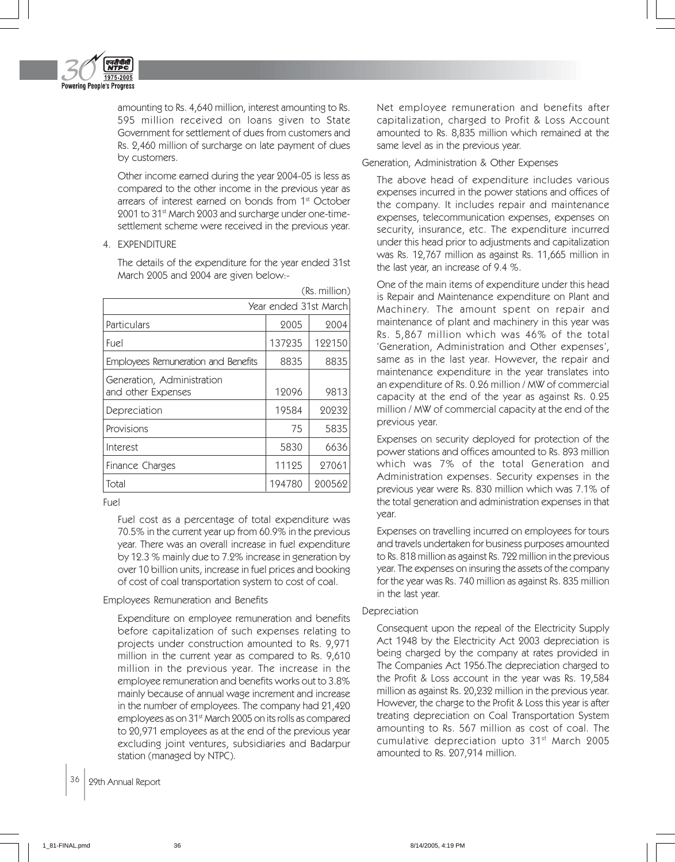

amounting to Rs. 4,640 million, interest amounting to Rs. 595 million received on loans given to State Government for settlement of dues from customers and Rs. 2,460 million of surcharge on late payment of dues by customers.

Other income earned during the year 2004-05 is less as compared to the other income in the previous year as arrears of interest earned on bonds from 1<sup>st</sup> October 2001 to 31st March 2003 and surcharge under one-timesettlement scheme were received in the previous year.

4. EXPENDITURE

The details of the expenditure for the year ended 31st March 2005 and 2004 are given below:-

|                                                  |                       | (Rs. million) |
|--------------------------------------------------|-----------------------|---------------|
|                                                  | Year ended 31st March |               |
| Particulars                                      | 2005                  | 2004          |
| Fuel                                             | 137235                | 122150        |
| Employees Remuneration and Benefits              | 8835                  | 8835          |
| Generation, Administration<br>and other Expenses | 12096                 | 9813          |
| Depreciation                                     | 19584                 | 20232         |
| Provisions                                       | 75                    | 5835          |
| Interest                                         | 5830                  | 6636          |
| Finance Charges                                  | 11125                 | 27061         |
| Total                                            | 194780                | 200562        |

Fuel

Fuel cost as a percentage of total expenditure was 70.5% in the current year up from 60.9% in the previous year. There was an overall increase in fuel expenditure by 12.3 % mainly due to 7.2% increase in generation by over 10 billion units, increase in fuel prices and booking of cost of coal transportation system to cost of coal.

## Employees Remuneration and Benefits

Expenditure on employee remuneration and benefits before capitalization of such expenses relating to projects under construction amounted to Rs. 9,971 million in the current year as compared to Rs. 9,610 million in the previous year. The increase in the employee remuneration and benefits works out to 3.8% mainly because of annual wage increment and increase in the number of employees. The company had 21,420 employees as on 31st March 2005 on its rolls as compared to 20,971 employees as at the end of the previous year excluding joint ventures, subsidiaries and Badarpur station (managed by NTPC).

Net employee remuneration and benefits after capitalization, charged to Profit & Loss Account amounted to Rs. 8,835 million which remained at the same level as in the previous year.

#### Generation, Administration & Other Expenses

The above head of expenditure includes various expenses incurred in the power stations and offices of the company. It includes repair and maintenance expenses, telecommunication expenses, expenses on security, insurance, etc. The expenditure incurred under this head prior to adjustments and capitalization was Rs. 12,767 million as against Rs. 11,665 million in the last year, an increase of 9.4 %.

One of the main items of expenditure under this head is Repair and Maintenance expenditure on Plant and Machinery. The amount spent on repair and maintenance of plant and machinery in this year was Rs. 5,867 million which was 46% of the total 'Generation, Administration and Other expenses', same as in the last year. However, the repair and maintenance expenditure in the year translates into an expenditure of Rs. 0.26 million / MW of commercial capacity at the end of the year as against Rs. 0.25 million / MW of commercial capacity at the end of the previous year.

Expenses on security deployed for protection of the power stations and offices amounted to Rs. 893 million which was 7% of the total Generation and Administration expenses. Security expenses in the previous year were Rs. 830 million which was 7.1% of the total generation and administration expenses in that year.

Expenses on travelling incurred on employees for tours and travels undertaken for business purposes amounted to Rs. 818 million as against Rs. 722 million in the previous year. The expenses on insuring the assets of the company for the year was Rs. 740 million as against Rs. 835 million in the last year.

## Depreciation

Consequent upon the repeal of the Electricity Supply Act 1948 by the Electricity Act 2003 depreciation is being charged by the company at rates provided in The Companies Act 1956.The depreciation charged to the Profit & Loss account in the year was Rs. 19,584 million as against Rs. 20,232 million in the previous year. However, the charge to the Profit & Loss this year is after treating depreciation on Coal Transportation System amounting to Rs. 567 million as cost of coal. The cumulative depreciation upto 31st March 2005 amounted to Rs. 207,914 million.

36 | 29th Annual Report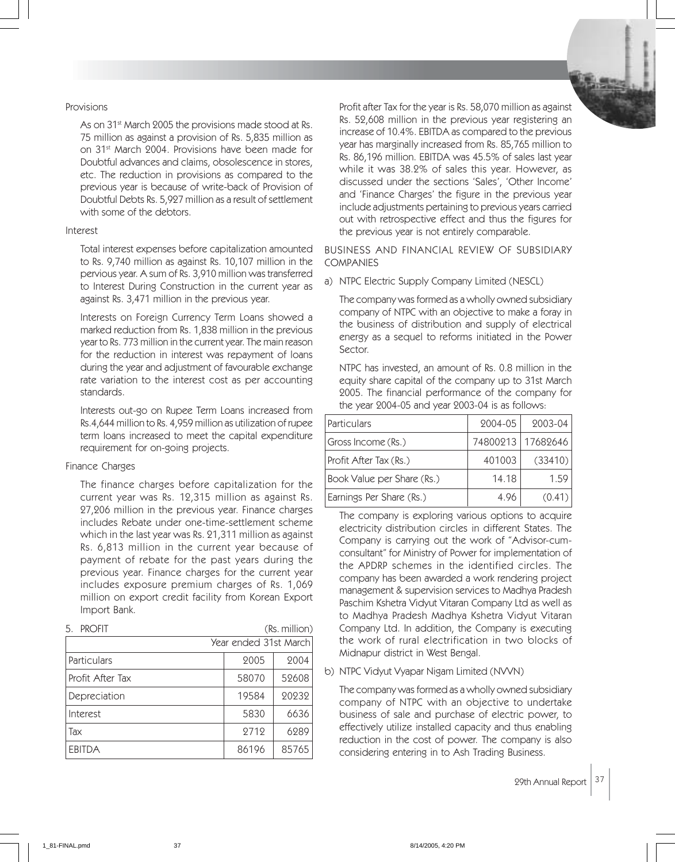#### Provisions

As on 31<sup>st</sup> March 2005 the provisions made stood at Rs. 75 million as against a provision of Rs. 5,835 million as on 31st March 2004. Provisions have been made for Doubtful advances and claims, obsolescence in stores, etc. The reduction in provisions as compared to the previous year is because of write-back of Provision of Doubtful Debts Rs. 5,927 million as a result of settlement with some of the debtors.

## Interest

Total interest expenses before capitalization amounted to Rs. 9,740 million as against Rs. 10,107 million in the pervious year. A sum of Rs. 3,910 million was transferred to Interest During Construction in the current year as against Rs. 3,471 million in the previous year.

Interests on Foreign Currency Term Loans showed a marked reduction from Rs. 1,838 million in the previous year to Rs. 773 million in the current year. The main reason for the reduction in interest was repayment of loans during the year and adjustment of favourable exchange rate variation to the interest cost as per accounting standards.

Interests out-go on Rupee Term Loans increased from Rs.4,644 million to Rs. 4,959 million as utilization of rupee term loans increased to meet the capital expenditure requirement for on-going projects.

#### Finance Charges

The finance charges before capitalization for the current year was Rs. 12,315 million as against Rs. 27,206 million in the previous year. Finance charges includes Rebate under one-time-settlement scheme which in the last year was Rs. 21,311 million as against Rs. 6,813 million in the current year because of payment of rebate for the past years during the previous year. Finance charges for the current year includes exposure premium charges of Rs. 1,069 million on export credit facility from Korean Export Import Bank.

| <b>PROFIT</b><br>5<br>(Rs. million) |                       |       |
|-------------------------------------|-----------------------|-------|
|                                     | Year ended 31st March |       |
| Particulars                         | 2005                  | 2004  |
| Profit After Tax                    | 58070                 | 52608 |
| Depreciation                        | 19584                 | 20232 |
| Interest                            | 5830                  | 6636  |
| Tax                                 | 2712                  | 6289  |
| <b>EBITDA</b>                       | 86196                 | 85765 |

Profit after Tax for the year is Rs. 58,070 million as against Rs. 52,608 million in the previous year registering an increase of 10.4%. EBITDA as compared to the previous year has marginally increased from Rs. 85,765 million to Rs. 86,196 million. EBITDA was 45.5% of sales last year while it was 38.2% of sales this year. However, as discussed under the sections 'Sales', 'Other Income' and 'Finance Charges' the figure in the previous year include adjustments pertaining to previous years carried out with retrospective effect and thus the figures for the previous year is not entirely comparable.

BUSINESS AND FINANCIAL REVIEW OF SUBSIDIARY COMPANIES

a) NTPC Electric Supply Company Limited (NESCL)

The company was formed as a wholly owned subsidiary company of NTPC with an objective to make a foray in the business of distribution and supply of electrical energy as a sequel to reforms initiated in the Power Sector.

NTPC has invested, an amount of Rs. 0.8 million in the equity share capital of the company up to 31st March 2005. The financial performance of the company for the year 2004-05 and year 2003-04 is as follows:

| Particulars                | 2004-05  | 2003-04  |
|----------------------------|----------|----------|
| Gross Income (Rs.)         | 74800213 | 17682646 |
| Profit After Tax (Rs.)     | 401003   | (33410)  |
| Book Value per Share (Rs.) | 14.18    | 1.59     |
| Earnings Per Share (Rs.)   | 4.96     | (0.41)   |

The company is exploring various options to acquire electricity distribution circles in different States. The Company is carrying out the work of "Advisor-cumconsultant" for Ministry of Power for implementation of the APDRP schemes in the identified circles. The company has been awarded a work rendering project management & supervision services to Madhya Pradesh Paschim Kshetra Vidyut Vitaran Company Ltd as well as to Madhya Pradesh Madhya Kshetra Vidyut Vitaran Company Ltd. In addition, the Company is executing the work of rural electrification in two blocks of Midnapur district in West Bengal.

b) NTPC Vidyut Vyapar Nigam Limited (NVVN)

The company was formed as a wholly owned subsidiary company of NTPC with an objective to undertake business of sale and purchase of electric power, to effectively utilize installed capacity and thus enabling reduction in the cost of power. The company is also considering entering in to Ash Trading Business.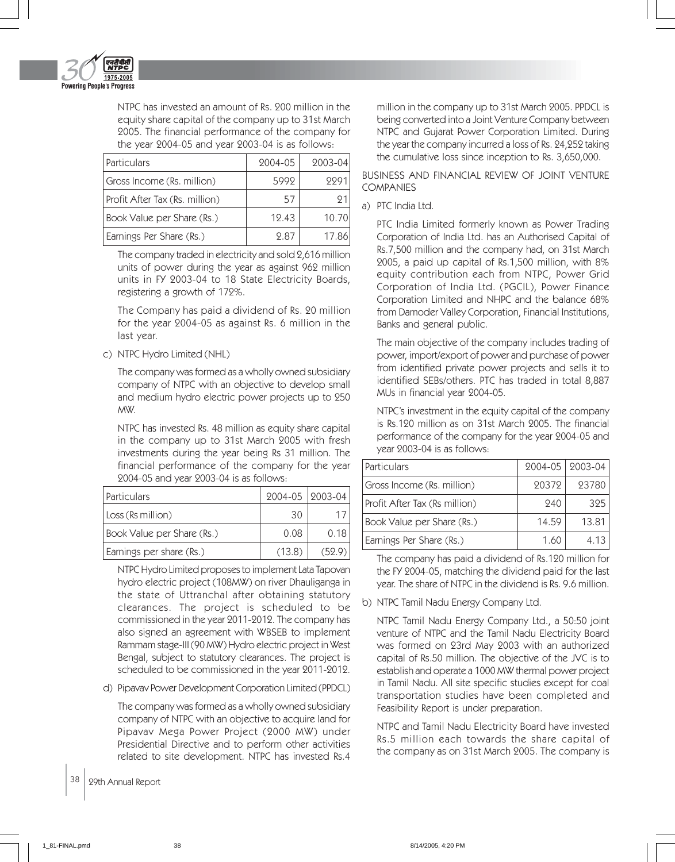

NTPC has invested an amount of Rs. 200 million in the equity share capital of the company up to 31st March 2005. The financial performance of the company for the year 2004-05 and year 2003-04 is as follows:

| Particulars                    | 2004-05 | 2003-04 |
|--------------------------------|---------|---------|
| Gross Income (Rs. million)     | 5992    | 9991    |
| Profit After Tax (Rs. million) | 57      | 91      |
| Book Value per Share (Rs.)     | 12.43   | 10.70   |
| Earnings Per Share (Rs.)       | 2.87    | 17.86   |

The company traded in electricity and sold 2,616 million units of power during the year as against 962 million units in FY 2003-04 to 18 State Electricity Boards, registering a growth of 172%.

The Company has paid a dividend of Rs. 20 million for the year 2004-05 as against Rs. 6 million in the last year.

## c) NTPC Hydro Limited (NHL)

The company was formed as a wholly owned subsidiary company of NTPC with an objective to develop small and medium hydro electric power projects up to 250 MW.

NTPC has invested Rs. 48 million as equity share capital in the company up to 31st March 2005 with fresh investments during the year being Rs 31 million. The financial performance of the company for the year 2004-05 and year 2003-04 is as follows:

| <i><u><b>Particulars</b></u></i> | 2004-05   2003-04 |        |
|----------------------------------|-------------------|--------|
| Loss (Rs million)                | 30                |        |
| Book Value per Share (Rs.)       | 0.08              | 0 18   |
| Earnings per share (Rs.)         | (13.8)            | (52.9) |

NTPC Hydro Limited proposes to implement Lata Tapovan hydro electric project (108MW) on river Dhauliganga in the state of Uttranchal after obtaining statutory clearances. The project is scheduled to be commissioned in the year 2011-2012. The company has also signed an agreement with WBSEB to implement Rammam stage-III (90 MW) Hydro electric project in West Bengal, subject to statutory clearances. The project is scheduled to be commissioned in the year 2011-2012.

d) Pipavav Power Development Corporation Limited (PPDCL)

The company was formed as a wholly owned subsidiary company of NTPC with an objective to acquire land for Pipavav Mega Power Project (2000 MW) under Presidential Directive and to perform other activities related to site development. NTPC has invested Rs.4

38 | 29th Annual Report

million in the company up to 31st March 2005. PPDCL is being converted into a Joint Venture Company between NTPC and Gujarat Power Corporation Limited. During the year the company incurred a loss of Rs. 24,252 taking the cumulative loss since inception to Rs. 3,650,000.

## BUSINESS AND FINANCIAL REVIEW OF JOINT VENTURE COMPANIES

## a) PTC India Ltd.

PTC India Limited formerly known as Power Trading Corporation of India Ltd. has an Authorised Capital of Rs.7,500 million and the company had, on 31st March 2005, a paid up capital of Rs.1,500 million, with 8% equity contribution each from NTPC, Power Grid Corporation of India Ltd. (PGCIL), Power Finance Corporation Limited and NHPC and the balance 68% from Damoder Valley Corporation, Financial Institutions, Banks and general public.

The main objective of the company includes trading of power, import/export of power and purchase of power from identified private power projects and sells it to identified SEBs/others. PTC has traded in total 8,887 MUs in financial year 2004-05.

NTPC's investment in the equity capital of the company is Rs.120 million as on 31st March 2005. The financial performance of the company for the year 2004-05 and year 2003-04 is as follows:

| Particulars                   |       | 2004-05   2003-04 |
|-------------------------------|-------|-------------------|
| Gross Income (Rs. million)    | 20372 | 23780             |
| Profit After Tax (Rs million) | 240   | 325               |
| Book Value per Share (Rs.)    | 14.59 | 13.81             |
| Earnings Per Share (Rs.)      | 1.60  | 4.13              |

The company has paid a dividend of Rs.120 million for the FY 2004-05, matching the dividend paid for the last year. The share of NTPC in the dividend is Rs. 9.6 million.

b) NTPC Tamil Nadu Energy Company Ltd.

NTPC Tamil Nadu Energy Company Ltd., a 50:50 joint venture of NTPC and the Tamil Nadu Electricity Board was formed on 23rd May 2003 with an authorized capital of Rs.50 million. The objective of the JVC is to establish and operate a 1000 MW thermal power project in Tamil Nadu. All site specific studies except for coal transportation studies have been completed and Feasibility Report is under preparation.

NTPC and Tamil Nadu Electricity Board have invested Rs.5 million each towards the share capital of the company as on 31st March 2005. The company is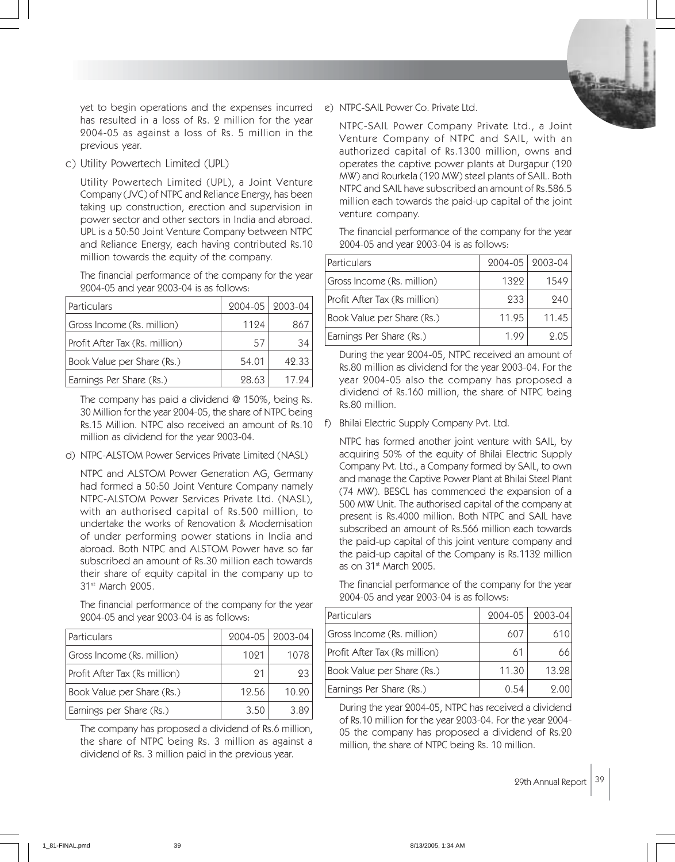yet to begin operations and the expenses incurred e) NTPC-SAIL Power Co. Private Ltd. has resulted in a loss of Rs. 2 million for the year 2004-05 as against a loss of Rs. 5 million in the previous year.

c) Utility Powertech Limited (UPL)

Utility Powertech Limited (UPL), a Joint Venture Company (JVC) of NTPC and Reliance Energy, has been taking up construction, erection and supervision in power sector and other sectors in India and abroad. UPL is a 50:50 Joint Venture Company between NTPC and Reliance Energy, each having contributed Rs.10 million towards the equity of the company.

The financial performance of the company for the year 2004-05 and year 2003-04 is as follows:

| Particulars                    |       | 2004-05   2003-04 |
|--------------------------------|-------|-------------------|
| Gross Income (Rs. million)     | 1194  | 86.               |
| Profit After Tax (Rs. million) | 57    | 34                |
| Book Value per Share (Rs.)     | 54.01 | 42.33             |
| Earnings Per Share (Rs.)       | 28.63 | 17 94             |

The company has paid a dividend @ 150%, being Rs. 30 Million for the year 2004-05, the share of NTPC being Rs.15 Million. NTPC also received an amount of Rs.10 million as dividend for the year 2003-04.

d) NTPC-ALSTOM Power Services Private Limited (NASL)

NTPC and ALSTOM Power Generation AG, Germany had formed a 50:50 Joint Venture Company namely NTPC-ALSTOM Power Services Private Ltd. (NASL), with an authorised capital of Rs.500 million, to undertake the works of Renovation & Modernisation of under performing power stations in India and abroad. Both NTPC and ALSTOM Power have so far subscribed an amount of Rs.30 million each towards their share of equity capital in the company up to 31st March 2005.

The financial performance of the company for the year 2004-05 and year 2003-04 is as follows:

| Particulars                   |       | 2004-05   2003-04 |
|-------------------------------|-------|-------------------|
| Gross Income (Rs. million)    | 1091  | 1078              |
| Profit After Tax (Rs million) | 91    | 23                |
| Book Value per Share (Rs.)    | 12.56 | 10.90             |
| Earnings per Share (Rs.)      | 3.50  | 3.89              |

The company has proposed a dividend of Rs.6 million, the share of NTPC being Rs. 3 million as against a dividend of Rs. 3 million paid in the previous year.

NTPC-SAIL Power Company Private Ltd., a Joint Venture Company of NTPC and SAIL, with an authorized capital of Rs.1300 million, owns and operates the captive power plants at Durgapur (120 MW) and Rourkela (120 MW) steel plants of SAIL. Both NTPC and SAIL have subscribed an amount of Rs.586.5 million each towards the paid-up capital of the joint venture company.

The financial performance of the company for the year 2004-05 and year 2003-04 is as follows:

| Particulars                   |       | 2004-05   2003-04 |
|-------------------------------|-------|-------------------|
| Gross Income (Rs. million)    | 1399  | 1549              |
| Profit After Tax (Rs million) | 233   | 940               |
| Book Value per Share (Rs.)    | 11.95 | 11.45             |
| Earnings Per Share (Rs.)      | 1 Y.  | 9.05              |

During the year 2004-05, NTPC received an amount of Rs.80 million as dividend for the year 2003-04. For the year 2004-05 also the company has proposed a dividend of Rs.160 million, the share of NTPC being Rs.80 million.

f) Bhilai Electric Supply Company Pvt. Ltd.

NTPC has formed another joint venture with SAIL, by acquiring 50% of the equity of Bhilai Electric Supply Company Pvt. Ltd., a Company formed by SAIL, to own and manage the Captive Power Plant at Bhilai Steel Plant (74 MW). BESCL has commenced the expansion of a 500 MW Unit. The authorised capital of the company at present is Rs.4000 million. Both NTPC and SAIL have subscribed an amount of Rs.566 million each towards the paid-up capital of this joint venture company and the paid-up capital of the Company is Rs.1132 million as on 31<sup>st</sup> March 2005.

The financial performance of the company for the year 2004-05 and year 2003-04 is as follows:

| Particulars                   | $2004 - 05$ | $2003 - 04$ |
|-------------------------------|-------------|-------------|
| Gross Income (Rs. million)    | 607         | 610         |
| Profit After Tax (Rs million) | 61          |             |
| Book Value per Share (Rs.)    | 11.30       | 13.28       |
| Earnings Per Share (Rs.)      | O 54        |             |

During the year 2004-05, NTPC has received a dividend of Rs.10 million for the year 2003-04. For the year 2004- 05 the company has proposed a dividend of Rs.20 million, the share of NTPC being Rs. 10 million.